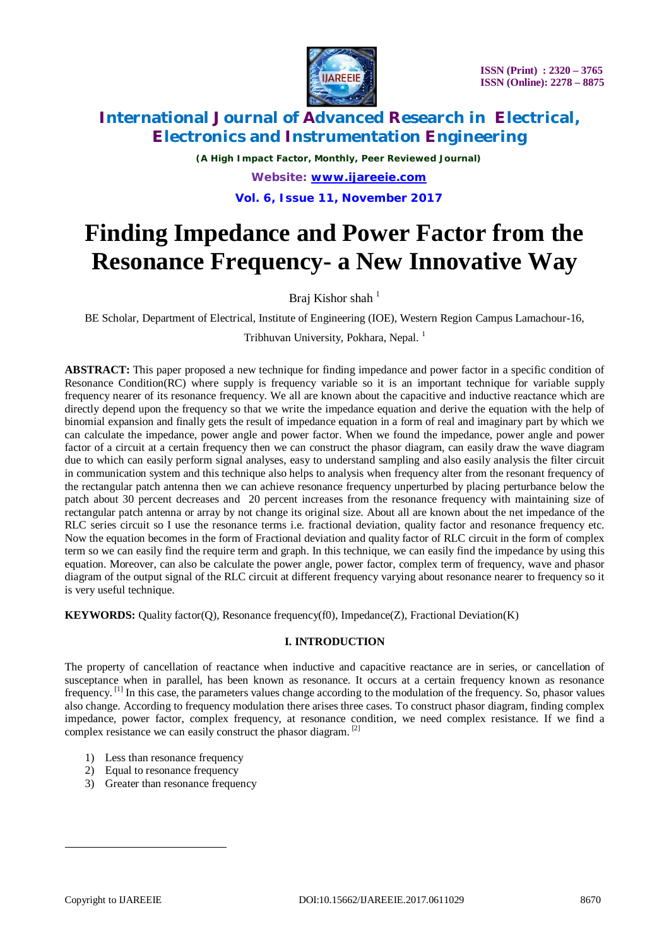

*(A High Impact Factor, Monthly, Peer Reviewed Journal) Website: [www.ijareeie.com](http://www.ijareeie.com)* **Vol. 6, Issue 11, November 2017**

# **Finding Impedance and Power Factor from the Resonance Frequency- a New Innovative Way**

Braj Kishor shah $<sup>1</sup>$ </sup>

BE Scholar, Department of Electrical, Institute of Engineering (IOE), Western Region Campus Lamachour-16,

Tribhuvan University, Pokhara, Nepal. <sup>1</sup>

**ABSTRACT:** This paper proposed a new technique for finding impedance and power factor in a specific condition of Resonance Condition(RC) where supply is frequency variable so it is an important technique for variable supply frequency nearer of its resonance frequency. We all are known about the capacitive and inductive reactance which are directly depend upon the frequency so that we write the impedance equation and derive the equation with the help of binomial expansion and finally gets the result of impedance equation in a form of real and imaginary part by which we can calculate the impedance, power angle and power factor. When we found the impedance, power angle and power factor of a circuit at a certain frequency then we can construct the phasor diagram, can easily draw the wave diagram due to which can easily perform signal analyses, easy to understand sampling and also easily analysis the filter circuit in communication system and this technique also helps to analysis when frequency alter from the resonant frequency of the rectangular patch antenna then we can achieve resonance frequency unperturbed by placing perturbance below the patch about 30 percent decreases and 20 percent increases from the resonance frequency with maintaining size of rectangular patch antenna or array by not change its original size. About all are known about the net impedance of the RLC series circuit so I use the resonance terms i.e. fractional deviation, quality factor and resonance frequency etc. Now the equation becomes in the form of Fractional deviation and quality factor of RLC circuit in the form of complex term so we can easily find the require term and graph. In this technique, we can easily find the impedance by using this equation. Moreover, can also be calculate the power angle, power factor, complex term of frequency, wave and phasor diagram of the output signal of the RLC circuit at different frequency varying about resonance nearer to frequency so it is very useful technique.

**KEYWORDS:** Quality factor(Q), Resonance frequency(f0), Impedance(Z), Fractional Deviation(K)

### **I. INTRODUCTION**

The property of cancellation of reactance when inductive and capacitive reactance are in series, or cancellation of susceptance when in parallel, has been known as resonance. It occurs at a certain frequency known as resonance frequency.<sup>[1]</sup> In this case, the parameters values change according to the modulation of the frequency. So, phasor values also change. According to frequency modulation there arises three cases. To construct phasor diagram, finding complex impedance, power factor, complex frequency, at resonance condition, we need complex resistance. If we find a complex resistance we can easily construct the phasor diagram. [2]

- 1) Less than resonance frequency
- 2) Equal to resonance frequency
- 3) Greater than resonance frequency

 $\overline{a}$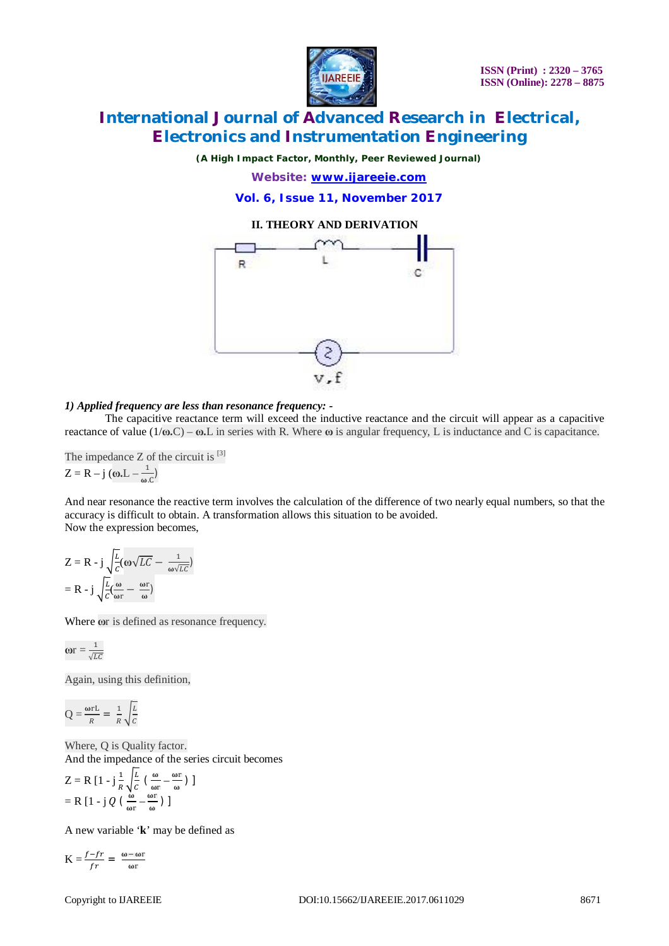

*(A High Impact Factor, Monthly, Peer Reviewed Journal)*

*Website: [www.ijareeie.com](http://www.ijareeie.com)* **Vol. 6, Issue 11, November 2017**

### **II. THEORY AND DERIVATION**



### *1) Applied frequency are less than resonance frequency: -*

The capacitive reactance term will exceed the inductive reactance and the circuit will appear as a capacitive reactance of value (1/**ω.**C) – **ω.**L in series with R. Where **ω** is angular frequency, L is inductance and C is capacitance.

The impedance  $Z$  of the circuit is  $^{[3]}$  $Z = R - j$  (ω.L –  $\frac{1}{n}$  $\frac{1}{\omega C}$ 

And near resonance the reactive term involves the calculation of the difference of two nearly equal numbers, so that the accuracy is difficult to obtain. A transformation allows this situation to be avoided. Now the expression becomes,

$$
Z = R - j \sqrt{\frac{L}{c}} (\omega \sqrt{LC} - \frac{1}{\omega \sqrt{LC}})
$$

$$
= R - j \sqrt{\frac{L}{c}} (\frac{\omega}{\omega r} - \frac{\omega r}{\omega})
$$

Where  $\omega$ r is defined as resonance frequency.

$$
\mathbf{or} = \frac{1}{\sqrt{LC}}
$$

Again, using this definition,

$$
Q = \frac{\omega r L}{R} = \frac{1}{R} \sqrt{\frac{L}{C}}
$$

Where, Q is Quality factor. And the impedance of the series circuit becomes

$$
Z = R [1 - j\frac{1}{R} \sqrt{\frac{L}{C}} (\frac{\omega}{\omega r} - \frac{\omega r}{\omega})]
$$
  
= R [1 - j Q (\frac{\omega}{\omega r} - \frac{\omega r}{\omega}) ]

A new variable '**k**' may be defined as

$$
K = \frac{f - fr}{fr} = \frac{\omega - \omega r}{\omega r}
$$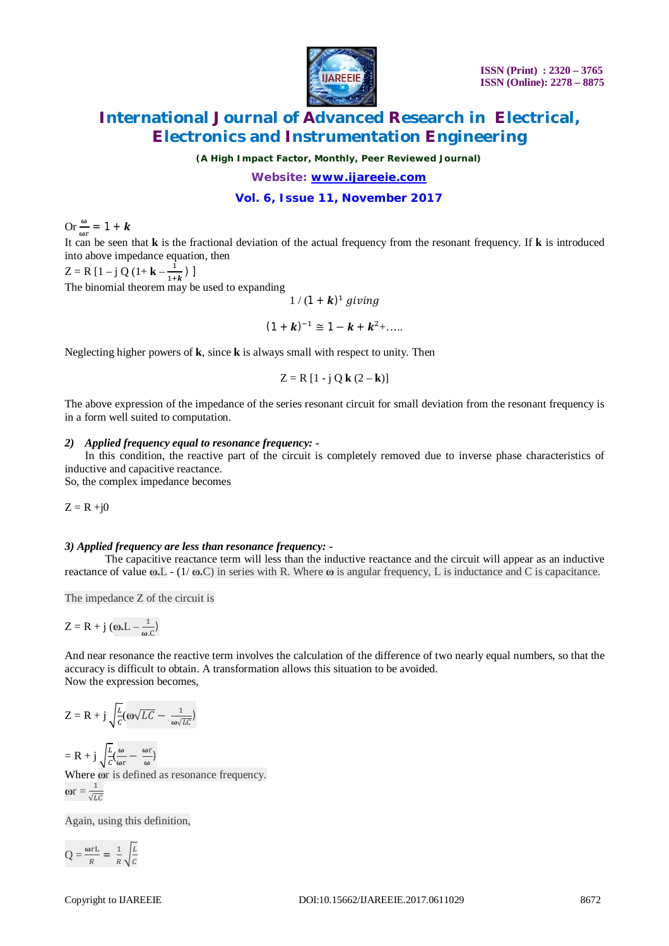

*(A High Impact Factor, Monthly, Peer Reviewed Journal)*

### *Website: [www.ijareeie.com](http://www.ijareeie.com)* **Vol. 6, Issue 11, November 2017**

Or  $\frac{\omega}{\omega r} = 1 + k$ 

It can be seen that **k** is the fractional deviation of the actual frequency from the resonant frequency. If **k** is introduced into above impedance equation, then

 $Z = R [1 - j Q (1 + k - \frac{1}{4})]$  $\frac{1}{1+k}$ )] The binomial theorem may be used to expanding

$$
1/(1 + \mathbf{k})^1 \ giving
$$

 $(1 + k)^{-1} \cong 1 - k + k^2 + \dots$ 

Neglecting higher powers of **k**, since **k** is always small with respect to unity. Then

$$
Z = R [1 - j Q k (2 - k)]
$$

The above expression of the impedance of the series resonant circuit for small deviation from the resonant frequency is in a form well suited to computation.

### *2) Applied frequency equal to resonance frequency: -*

In this condition, the reactive part of the circuit is completely removed due to inverse phase characteristics of inductive and capacitive reactance.

So, the complex impedance becomes

 $Z = R + j0$ 

### *3) Applied frequency are less than resonance frequency: -*

The capacitive reactance term will less than the inductive reactance and the circuit will appear as an inductive reactance of value **ω.**L - (1/ **ω.**C) in series with R. Where **ω** is angular frequency, L is inductance and C is capacitance.

The impedance Z of the circuit is

$$
Z=R+j\left(\omega_{\scriptscriptstyle\bullet} L-\frac{1}{\omega_{\scriptscriptstyle\bullet} C}\right)
$$

And near resonance the reactive term involves the calculation of the difference of two nearly equal numbers, so that the accuracy is difficult to obtain. A transformation allows this situation to be avoided. Now the expression becomes,

$$
Z = R + j \sqrt{\frac{L}{c}} (\omega \sqrt{LC} - \frac{1}{\omega \sqrt{LC}})
$$

$$
=R+j\sqrt{\frac{L}{c}}(\frac{\omega}{\omega r}-\frac{\omega r}{\omega})
$$

Where  $\omega$ r is defined as resonance frequency. **w** =  $\frac{1}{\sqrt{t}}$  $\sqrt{L}C$ 

Again, using this definition,

$$
Q = \frac{\omega r L}{R} = \frac{1}{R} \sqrt{\frac{L}{C}}
$$